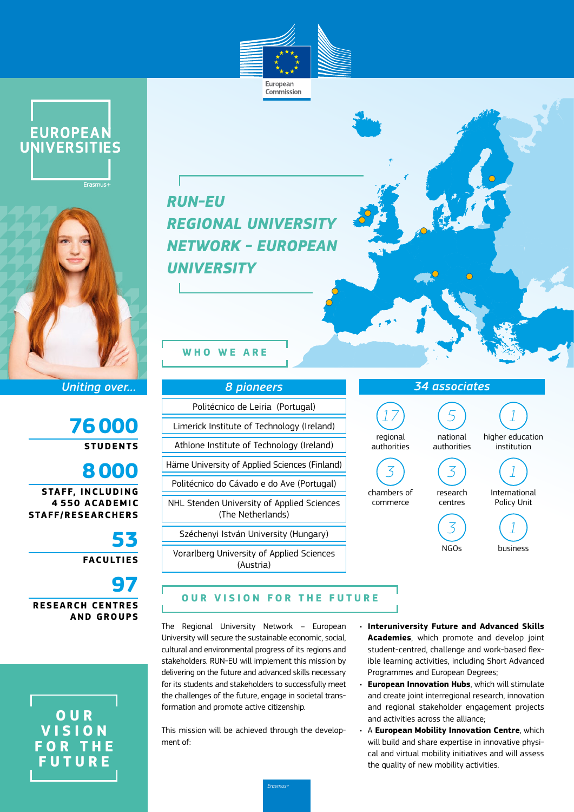

EUROPEAN<br>UNIVERSITIES Erasmus+



*Uniting over…*



# **8000**

**STAFF, INCLUDING 4 550 ACADEMIC STAFF/RESEARCHERS**



# **97 RESEARCH CENTRES AND GROUPS**

# **O U R V I S I O N F O R T H E FUTURE**

*RUN-EU REGIONAL UNIVERSITY NETWORK - EUROPEAN UNIVERSITY*

# **WHO WE ARE**

| <b>8 pioneers</b>                                               |
|-----------------------------------------------------------------|
| Politécnico de Leiria (Portugal)                                |
| Limerick Institute of Technology (Ireland)                      |
| Athlone Institute of Technology (Ireland)                       |
| Häme University of Applied Sciences (Finland)                   |
| Politécnico do Cávado e do Ave (Portugal)                       |
| NHL Stenden University of Applied Sciences<br>(The Netherlands) |
| Széchenyi István University (Hungary)                           |
| Vorarlberg University of Applied Sciences<br>(Austria)          |

### **OUR VISION FOR THE FUTURE**

The Regional University Network – European University will secure the sustainable economic, social, cultural and environmental progress of its regions and stakeholders. RUN-EU will implement this mission by delivering on the future and advanced skills necessary for its students and stakeholders to successfully meet the challenges of the future, engage in societal transformation and promote active citizenship.

This mission will be achieved through the development of:

- *34 associates 17* regional authorities *5* national authorities *1* higher education institution *3* chambers of commerce *3* research centres *1* International Policy Unit *3* NGOs *1* business
- **Interuniversity Future and Advanced Skills Academies**, which promote and develop joint student-centred, challenge and work-based flexible learning activities, including Short Advanced Programmes and European Degrees;
- **European Innovation Hubs**, which will stimulate and create joint interregional research, innovation and regional stakeholder engagement projects and activities across the alliance;
- A **European Mobility Innovation Centre**, which will build and share expertise in innovative physical and virtual mobility initiatives and will assess the quality of new mobility activities.

*Erasmus+*